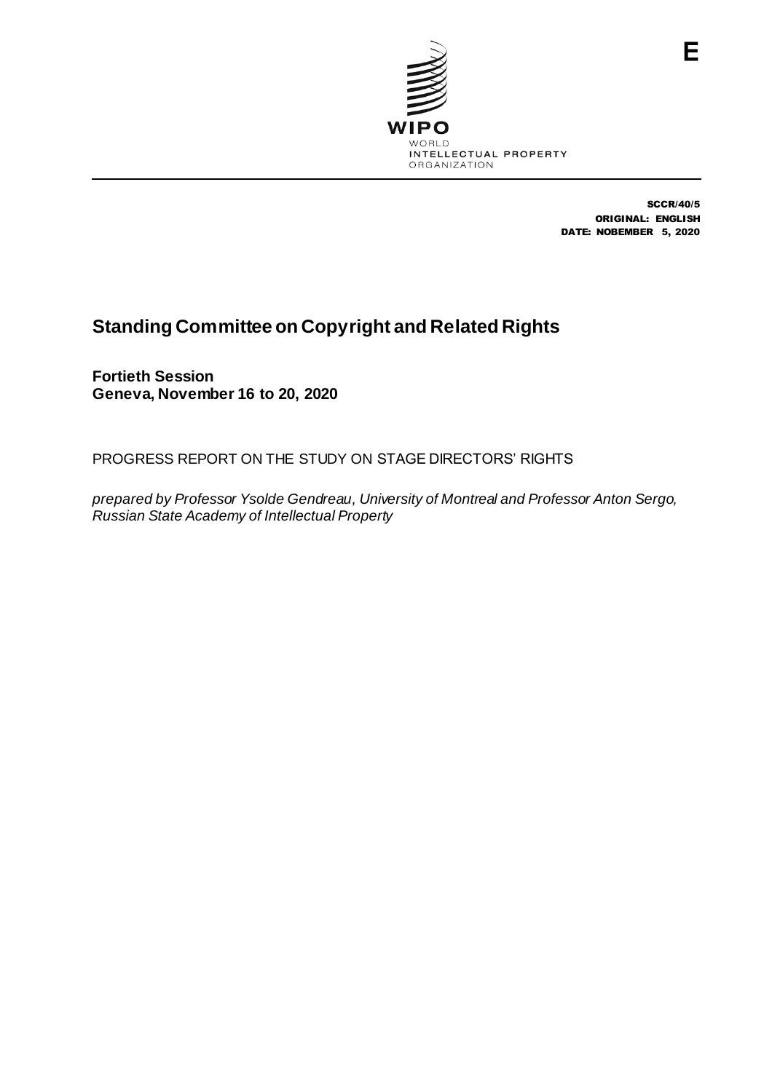

SCCR/40/5 ORIGINAL: ENGLISH DATE: NOBEMBER 5, 2020

## **Standing Committee on Copyright and Related Rights**

**Fortieth Session Geneva, November 16 to 20, 2020**

PROGRESS REPORT ON THE STUDY ON STAGE DIRECTORS' RIGHTS

*prepared by Professor Ysolde Gendreau, University of Montreal and Professor Anton Sergo, Russian State Academy of Intellectual Property*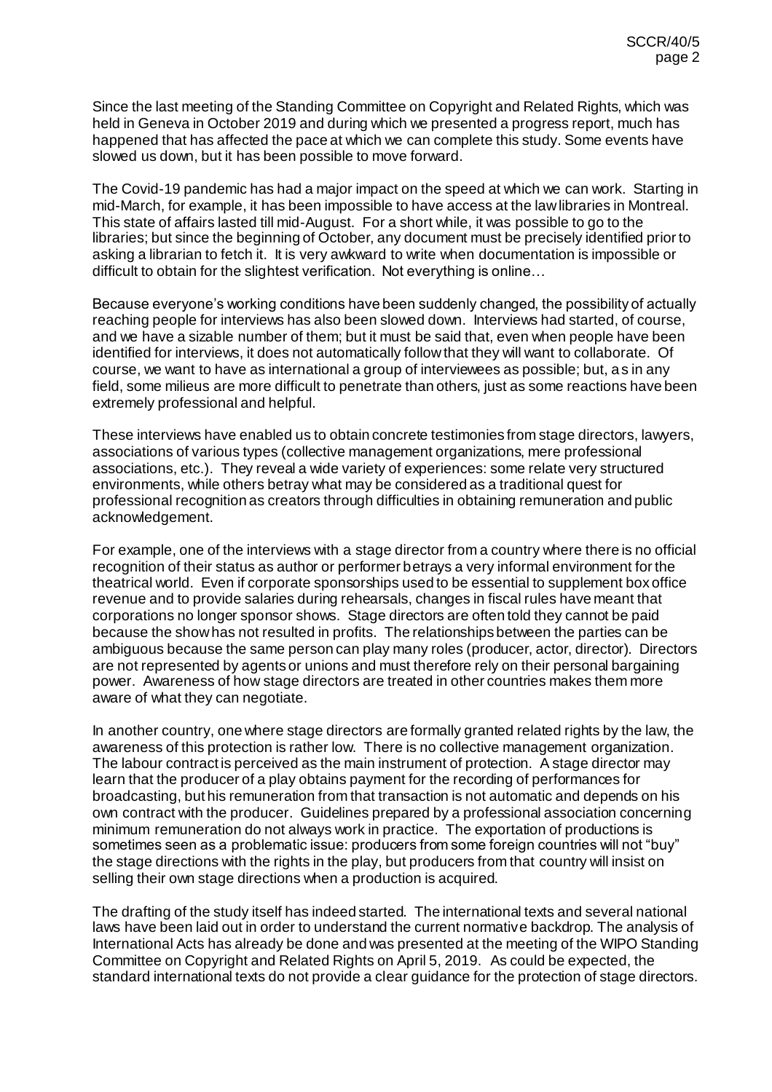Since the last meeting of the Standing Committee on Copyright and Related Rights, which was held in Geneva in October 2019 and during which we presented a progress report, much has happened that has affected the pace at which we can complete this study. Some events have slowed us down, but it has been possible to move forward.

The Covid-19 pandemic has had a major impact on the speed at which we can work. Starting in mid-March, for example, it has been impossible to have access at the law libraries in Montreal. This state of affairs lasted till mid-August. For a short while, it was possible to go to the libraries; but since the beginning of October, any document must be precisely identified prior to asking a librarian to fetch it. It is very awkward to write when documentation is impossible or difficult to obtain for the slightest verification. Not everything is online…

Because everyone's working conditions have been suddenly changed, the possibility of actually reaching people for interviews has also been slowed down. Interviews had started, of course, and we have a sizable number of them; but it must be said that, even when people have been identified for interviews, it does not automatically follow that they will want to collaborate. Of course, we want to have as international a group of interviewees as possible; but, as in any field, some milieus are more difficult to penetrate than others, just as some reactions have been extremely professional and helpful.

These interviews have enabled us to obtain concrete testimonies from stage directors, lawyers, associations of various types (collective management organizations, mere professional associations, etc.). They reveal a wide variety of experiences: some relate very structured environments, while others betray what may be considered as a traditional quest for professional recognition as creators through difficulties in obtaining remuneration and public acknowledgement.

For example, one of the interviews with a stage director from a country where there is no official recognition of their status as author or performer betrays a very informal environment for the theatrical world. Even if corporate sponsorships used to be essential to supplement box office revenue and to provide salaries during rehearsals, changes in fiscal rules have meant that corporations no longer sponsor shows. Stage directors are often told they cannot be paid because the show has not resulted in profits. The relationships between the parties can be ambiguous because the same person can play many roles (producer, actor, director). Directors are not represented by agents or unions and must therefore rely on their personal bargaining power. Awareness of how stage directors are treated in other countries makes them more aware of what they can negotiate.

In another country, one where stage directors are formally granted related rights by the law, the awareness of this protection is rather low. There is no collective management organization. The labour contract is perceived as the main instrument of protection. A stage director may learn that the producer of a play obtains payment for the recording of performances for broadcasting, but his remuneration from that transaction is not automatic and depends on his own contract with the producer. Guidelines prepared by a professional association concerning minimum remuneration do not always work in practice. The exportation of productions is sometimes seen as a problematic issue: producers from some foreign countries will not "buy" the stage directions with the rights in the play, but producers from that country will insist on selling their own stage directions when a production is acquired.

The drafting of the study itself has indeed started. The international texts and several national laws have been laid out in order to understand the current normative backdrop. The analysis of International Acts has already be done and was presented at the meeting of the WIPO Standing Committee on Copyright and Related Rights on April 5, 2019. As could be expected, the standard international texts do not provide a clear guidance for the protection of stage directors.